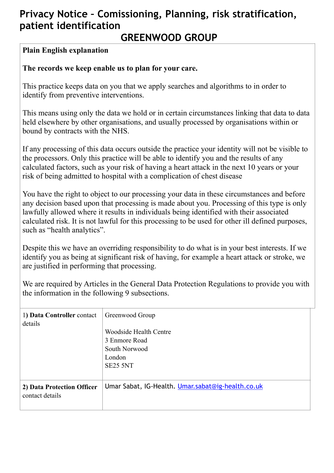## **Privacy Notice – Comissioning, Planning, risk stratification, patient identification**

## **GREENWOOD GROUP**

#### **Plain English explanation**

#### **The records we keep enable us to plan for your care.**

This practice keeps data on you that we apply searches and algorithms to in order to identify from preventive interventions.

This means using only the data we hold or in certain circumstances linking that data to data held elsewhere by other organisations, and usually processed by organisations within or bound by contracts with the NHS.

If any processing of this data occurs outside the practice your identity will not be visible to the processors. Only this practice will be able to identify you and the results of any calculated factors, such as your risk of having a heart attack in the next 10 years or your risk of being admitted to hospital with a complication of chest disease

You have the right to object to our processing your data in these circumstances and before any decision based upon that processing is made about you. Processing of this type is only lawfully allowed where it results in individuals being identified with their associated calculated risk. It is not lawful for this processing to be used for other ill defined purposes, such as "health analytics".

Despite this we have an overriding responsibility to do what is in your best interests. If we identify you as being at significant risk of having, for example a heart attack or stroke, we are justified in performing that processing.

We are required by Articles in the General Data Protection Regulations to provide you with the information in the following 9 subsections.

| 1) Data Controller contact<br>details         | Greenwood Group                                   |
|-----------------------------------------------|---------------------------------------------------|
|                                               | Woodside Health Centre                            |
|                                               | 3 Enmore Road                                     |
|                                               | South Norwood                                     |
|                                               | London                                            |
|                                               | SE25 5NT                                          |
|                                               |                                                   |
| 2) Data Protection Officer<br>contact details | Umar Sabat, IG-Health. Umar.sabat@ig-health.co.uk |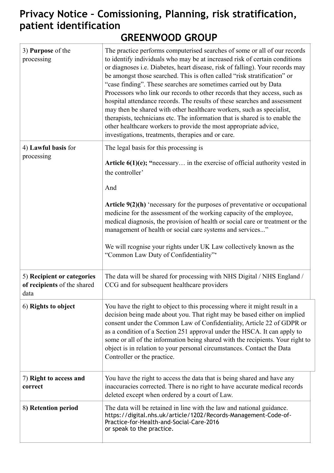# **Privacy Notice – Comissioning, Planning, risk stratification, patient identification**

| 3) Purpose of the<br>processing                                   | The practice performs computerised searches of some or all of our records<br>to identify individuals who may be at increased risk of certain conditions<br>or diagnoses i.e. Diabetes, heart disease, risk of falling). Your records may<br>be amongst those searched. This is often called "risk stratification" or<br>"case finding". These searches are sometimes carried out by Data<br>Processors who link our records to other records that they access, such as<br>hospital attendance records. The results of these searches and assessment<br>may then be shared with other healthcare workers, such as specialist,<br>therapists, technicians etc. The information that is shared is to enable the<br>other healthcare workers to provide the most appropriate advice,<br>investigations, treatments, therapies and or care. |
|-------------------------------------------------------------------|----------------------------------------------------------------------------------------------------------------------------------------------------------------------------------------------------------------------------------------------------------------------------------------------------------------------------------------------------------------------------------------------------------------------------------------------------------------------------------------------------------------------------------------------------------------------------------------------------------------------------------------------------------------------------------------------------------------------------------------------------------------------------------------------------------------------------------------|
| 4) Lawful basis for<br>processing                                 | The legal basis for this processing is<br>Article $6(1)(e)$ ; "necessary in the exercise of official authority vested in<br>the controller'<br>And<br>Article $9(2)(h)$ 'necessary for the purposes of preventative or occupational<br>medicine for the assessment of the working capacity of the employee,<br>medical diagnosis, the provision of health or social care or treatment or the<br>management of health or social care systems and services"<br>We will reognise your rights under UK Law collectively known as the<br>"Common Law Duty of Confidentiality"*                                                                                                                                                                                                                                                              |
| 5) Recipient or categories<br>of recipients of the shared<br>data | The data will be shared for processing with NHS Digital / NHS England /<br>CCG and for subsequent healthcare providers                                                                                                                                                                                                                                                                                                                                                                                                                                                                                                                                                                                                                                                                                                                 |
| 6) Rights to object                                               | You have the right to object to this processing where it might result in a<br>decision being made about you. That right may be based either on implied<br>consent under the Common Law of Confidentiality, Article 22 of GDPR or<br>as a condition of a Section 251 approval under the HSCA. It can apply to<br>some or all of the information being shared with the recipients. Your right to<br>object is in relation to your personal circumstances. Contact the Data<br>Controller or the practice.                                                                                                                                                                                                                                                                                                                                |
| 7) Right to access and<br>correct                                 | You have the right to access the data that is being shared and have any<br>inaccuracies corrected. There is no right to have accurate medical records<br>deleted except when ordered by a court of Law.                                                                                                                                                                                                                                                                                                                                                                                                                                                                                                                                                                                                                                |
| 8) Retention period                                               | The data will be retained in line with the law and national guidance.<br>https://digital.nhs.uk/article/1202/Records-Management-Code-of-<br>Practice-for-Health-and-Social-Care-2016<br>or speak to the practice.                                                                                                                                                                                                                                                                                                                                                                                                                                                                                                                                                                                                                      |

# **GREENWOOD GROUP**